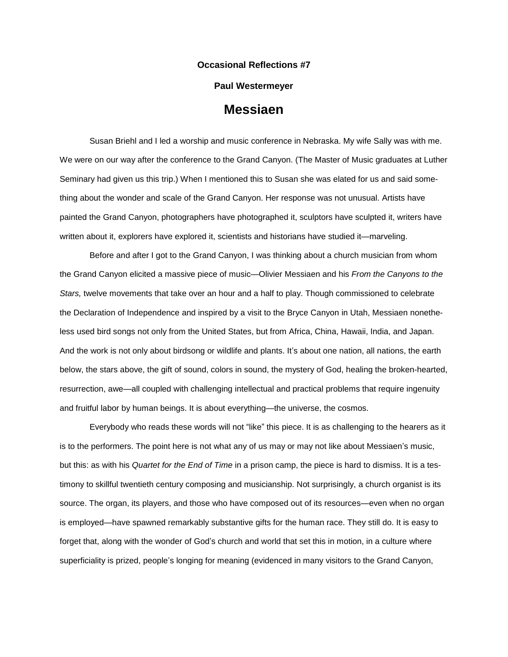## **Occasional Reflections #7**

## **Paul Westermeyer**

## **Messiaen**

Susan Briehl and I led a worship and music conference in Nebraska. My wife Sally was with me. We were on our way after the conference to the Grand Canyon. (The Master of Music graduates at Luther Seminary had given us this trip.) When I mentioned this to Susan she was elated for us and said something about the wonder and scale of the Grand Canyon. Her response was not unusual. Artists have painted the Grand Canyon, photographers have photographed it, sculptors have sculpted it, writers have written about it, explorers have explored it, scientists and historians have studied it—marveling.

Before and after I got to the Grand Canyon, I was thinking about a church musician from whom the Grand Canyon elicited a massive piece of music—Olivier Messiaen and his *From the Canyons to the Stars,* twelve movements that take over an hour and a half to play. Though commissioned to celebrate the Declaration of Independence and inspired by a visit to the Bryce Canyon in Utah, Messiaen nonetheless used bird songs not only from the United States, but from Africa, China, Hawaii, India, and Japan. And the work is not only about birdsong or wildlife and plants. It's about one nation, all nations, the earth below, the stars above, the gift of sound, colors in sound, the mystery of God, healing the broken-hearted, resurrection, awe—all coupled with challenging intellectual and practical problems that require ingenuity and fruitful labor by human beings. It is about everything—the universe, the cosmos.

Everybody who reads these words will not "like" this piece. It is as challenging to the hearers as it is to the performers. The point here is not what any of us may or may not like about Messiaen's music, but this: as with his *Quartet for the End of Time* in a prison camp, the piece is hard to dismiss. It is a testimony to skillful twentieth century composing and musicianship. Not surprisingly, a church organist is its source. The organ, its players, and those who have composed out of its resources—even when no organ is employed—have spawned remarkably substantive gifts for the human race. They still do. It is easy to forget that, along with the wonder of God's church and world that set this in motion, in a culture where superficiality is prized, people's longing for meaning (evidenced in many visitors to the Grand Canyon,